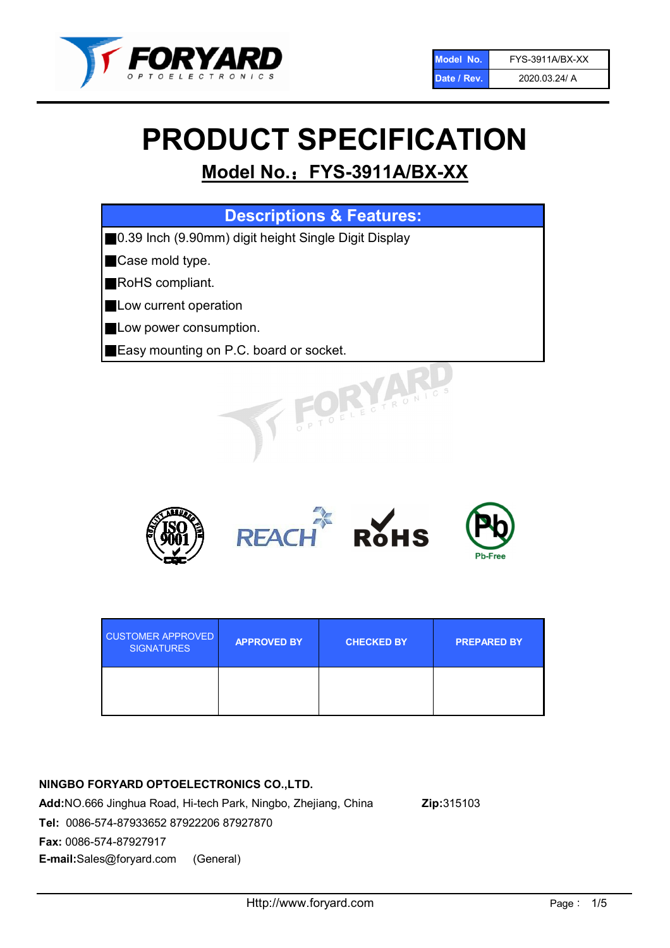

# PRODUCT SPECIFICATION

# Model No.: FYS-3911A/BX-XX

| <b>Descriptions &amp; Features:</b>                   |
|-------------------------------------------------------|
| ■0.39 Inch (9.90mm) digit height Single Digit Display |
| Case mold type.                                       |
| RoHS compliant.                                       |
| Low current operation                                 |
| Low power consumption.                                |
| <b>Easy mounting on P.C. board or socket.</b>         |
| TOELECTRONICS                                         |



| <b>CUSTOMER APPROVED</b><br><b>SIGNATURES</b> | <b>APPROVED BY</b> | <b>CHECKED BY</b> | <b>PREPARED BY</b> |
|-----------------------------------------------|--------------------|-------------------|--------------------|
|                                               |                    |                   |                    |

# NINGBO FORYARD OPTOELECTRONICS CO.,LTD.

Add:NO.666 Jinghua Road, Hi-tech Park, Ningbo, Zhejiang, China Zip:315103 Tel: 0086-574-87933652 87922206 87927870 Fax: 0086-574-87927917 E-mail:Sales@foryard.com (General)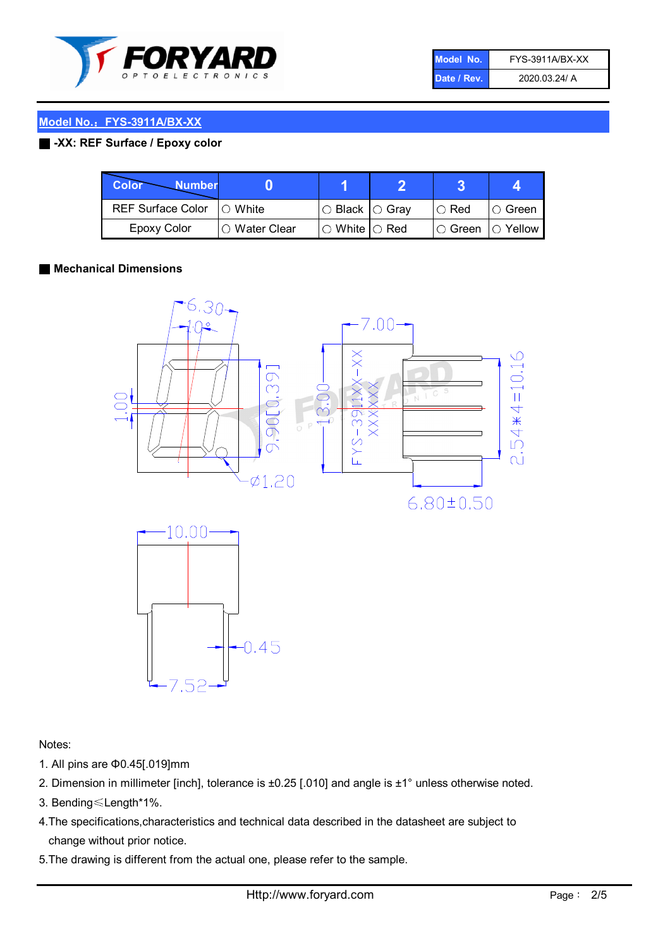

| Model No.   | <b>FYS-3911A/BX-XX</b> |
|-------------|------------------------|
| Date / Rev. | 2020.03.24/ A          |

#### ■ -XX: REF Surface / Epoxy color

| Color<br><b>Number</b>     |                 |                           |             |                |
|----------------------------|-----------------|---------------------------|-------------|----------------|
| REF Surface Color  ○ White |                 | ○ Black  ○ Gray           | $\circ$ Red | IO Green       |
| Epoxy Color                | l ⊜ Water Clear | $\circ$ White $\circ$ Red | I⊖ Green    | $\circ$ Yellow |

#### ■ Mechanical Dimensions





Notes:

- 1. All pins are Φ0.45[.019]mm
- 2. Dimension in millimeter [inch], tolerance is ±0.25 [.010] and angle is ±1° unless otherwise noted.
- 3. Bending≤Length\*1%.
- 4.The specifications,characteristics and technical data described in the datasheet are subject to change without prior notice.
- 5.The drawing is different from the actual one, please refer to the sample.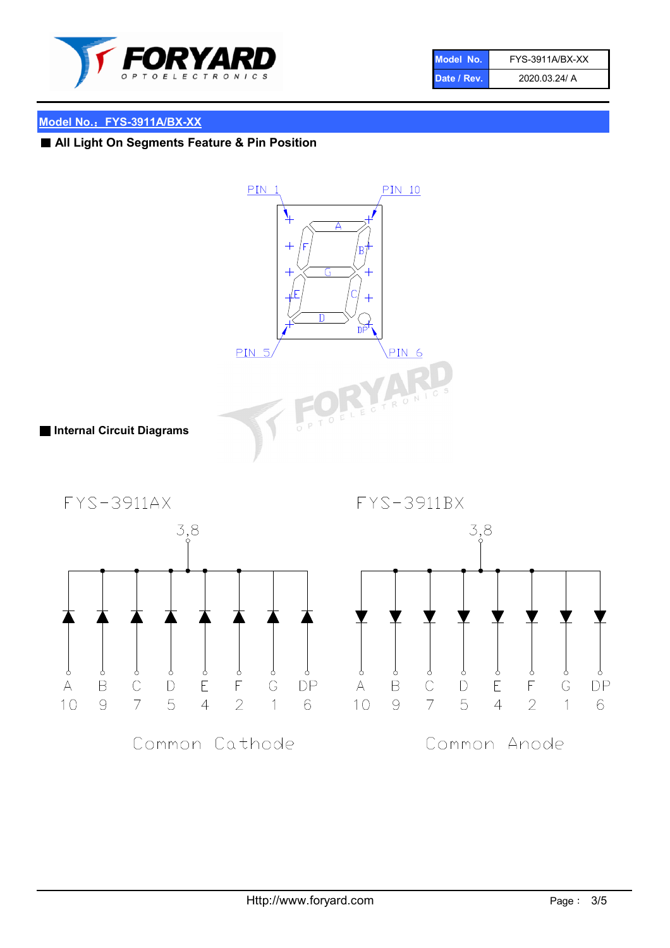

| Model No.   | FYS-3911A/BX-XX |
|-------------|-----------------|
| Date / Rev. | 2020.03.24/ A   |

# ■ All Light On Segments Feature & Pin Position

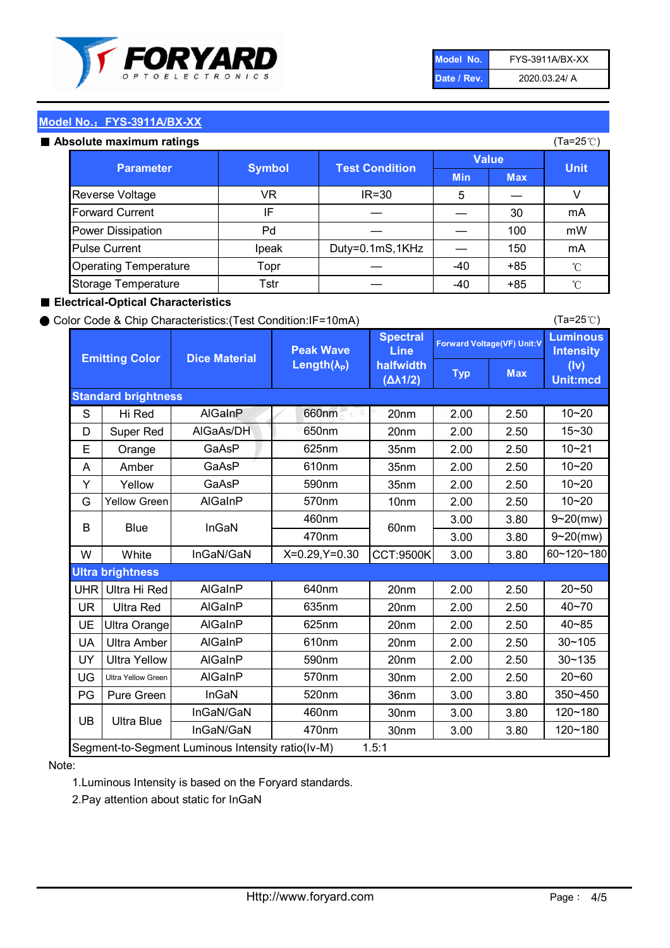

| Model No.   | FYS-3911A/BX-XX |
|-------------|-----------------|
| Date / Rev. | 2020.03.24/ A   |

#### Absolute maximum ratings

| ISUIULU IIIAAIIIIUIIII TALIIIYS |               |                       |              | (⊺a−∠J ∪ <i>)</i> |              |
|---------------------------------|---------------|-----------------------|--------------|-------------------|--------------|
| <b>Parameter</b>                | <b>Symbol</b> | <b>Test Condition</b> | <b>Value</b> |                   | <b>Unit</b>  |
|                                 |               |                       | <b>Min</b>   | <b>Max</b>        |              |
| Reverse Voltage                 | VR            | $IR = 30$             | 5            |                   |              |
| <b>Forward Current</b>          | ΙF            |                       |              | 30                | mA           |
| Power Dissipation               | Pd            |                       |              | 100               | mW           |
| <b>Pulse Current</b>            | Ipeak         | Duty=0.1mS,1KHz       |              | 150               | mA           |
| <b>Operating Temperature</b>    | Topr          |                       | $-40$        | $+85$             | $^{\circ}$ C |
| Storage Temperature             | Tstr          |                       | $-40$        | $+85$             | °C           |

#### ■ Electrical-Optical Characteristics

#### ● Color Code & Chip Characteristics:(Test Condition:IF=10mA)

Typ Max S | Hi $\textsf{Red}$  | AlGaInP | 660nm LE 20nm | 2.00 | 2.50 D | Super Red | AIGaAs/DH | 650nm | 20nm | 2.00 | 2.50 E | Orange | GaAsP | 625nm | 35nm | 2.00 | 2.50 A | Amber | GaAsP | 610nm | 35nm | 2.00 | 2.50 Y | Yellow | GaAsP | 590nm | 35nm | 2.00 | 2.50 G Yellow Green AIGaInP | 570nm | 10nm | 2.00 | 2.50 3.00 3.80 3.00 3.80 W | White | InGaN/GaN | X=0.29,Y=0.30 |CCT:9500K| 3.00 | 3.80 UHR Ultra Hi Red  $\vert$  AIGaInP  $\vert$  640nm  $\vert$  20nm  $\vert$  2.00  $\vert$  2.50 UR | Ultra Red | AlGaInP | 635nm | 20nm | 2.00 | 2.50 UE Ultra Orange | AIGaInP | 625nm | 20nm | 2.00 | 2.50 UA Ultra Amber | AIGaInP | 610nm | 20nm | 2.00 | 2.50  $UV$  Ultra Yellow  $\vert$  AlGaInP  $\vert$  590nm  $\vert$  20nm  $\vert$  2.00  $\vert$  2.50  $\text{UG}$  Ultra Yellow Green | AIGaInP | 570nm | 30nm | 2.00 | 2.50 PG | Pure Green | InGaN | 520nm | 36nm | 3.00 | 3.80 30nm 3.00 3.80 30nm 3.00 3.80 40~85 60~120~180 40~70 Segment-to-Segment Luminous Intensity ratio(Iv-M) 1.5:1 610nm 9~20(mw) 350~450 470nm 120~180 120~180 Ultra Blue InGaN/GaN 9~20(mw) 20~50 570nm | 30nm | 2.00 | 2.50 | 20~60 470nm 590nm InGaN/GaN B Blue I InGaN 570nm | 10nm | 2.00 | 2.50 | 10~20 30~105 30~135 460nm 520nm Ultra brightness **AlGaInP** AlGaInP 60nm AlGaInP 640nm Peak Wave Length $(\lambda_{\rm P})$ UB 460nm 635nm AlGaInP AlGaInP AlGaInP InGaN/GaN AlGaInP 10~20 Luminous **Intensity** (Iv) Unit:mcd AlGainP 660nm GaAsP GaAsP AlGaAs/DH **Spectral** Line halfwidth (∆λ1/2) 10~20 Standard brightness Forward Voltage(VF) Unit:V 15~30 10~20 625nm GaAsP 590nm **Emitting Color Dice Material** 10~21 610nm

#### Note:

1.Luminous Intensity is based on the Foryard standards.

2.Pay attention about static for InGaN

(Ta=25℃)

(Ta=25℃)